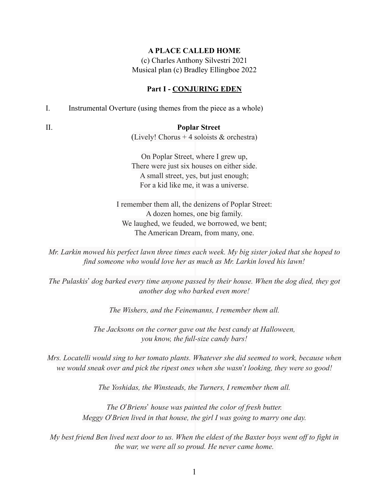### **A PLACE CALLED HOME**

(c) Charles Anthony Silvestri 2021 Musical plan (c) Bradley Ellingboe 2022

### **Part I - CONJURING EDEN**

I. Instrumental Overture (using themes from the piece as a whole)

# II. **Poplar Street**

(Lively! Chorus + 4 soloists & orchestra)

On Poplar Street, where I grew up, There were just six houses on either side. A small street, yes, but just enough; For a kid like me, it was a universe.

I remember them all, the denizens of Poplar Street: A dozen homes, one big family. We laughed, we feuded, we borrowed, we bent; The American Dream, from many, one.

*Mr. Larkin mowed his perfect lawn three times each week. My big sister joked that she hoped to find someone who would love her as much as Mr. Larkin loved his lawn!*

*The Pulaskis*!"*dog barked every time anyone passed by their house. When the dog died, they got another dog who barked even more!*

*The Wishers, and the Feinemanns, I remember them all.*

*The Jacksons on the corner gave out the best candy at Halloween, you know, the full-size candy bars!*

*Mrs. Locatelli would sing to her tomato plants. Whatever she did seemed to work, because when*  we would sneak over and pick the ripest ones when she wasn't looking, they were so good!

*The Yoshidas, the Winsteads, the Turners, I remember them all.*

*The O*!*Briens*!"*house was painted the color of fresh butter. Meggy O*!*Brien lived in that house, the girl I was going to marry one day.*

*My best friend Ben lived next door to us. When the eldest of the Baxter boys went off to fight in the war, we were all so proud. He never came home.*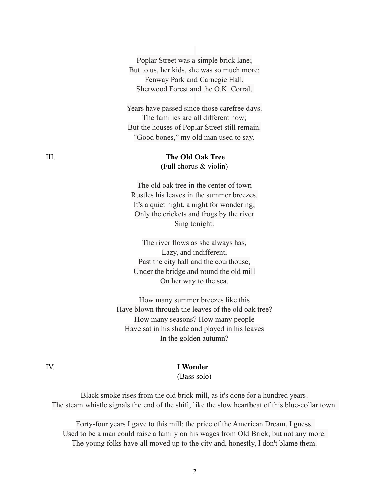Poplar Street was a simple brick lane; But to us, her kids, she was so much more: Fenway Park and Carnegie Hall, Sherwood Forest and the O.K. Corral. Years have passed since those carefree days. The families are all different now; But the houses of Poplar Street still remain. "Good bones," my old man used to say. III. **The Old Oak Tree (**Full chorus & violin) The old oak tree in the center of town Rustles his leaves in the summer breezes. It's a quiet night, a night for wondering; Only the crickets and frogs by the river Sing tonight. The river flows as she always has, Lazy, and indifferent, Past the city hall and the courthouse,

Under the bridge and round the old mill On her way to the sea.

How many summer breezes like this Have blown through the leaves of the old oak tree? How many seasons? How many people Have sat in his shade and played in his leaves In the golden autumn?

### IV. **I Wonder**

(Bass solo)

Black smoke rises from the old brick mill, as it's done for a hundred years. The steam whistle signals the end of the shift, like the slow heartbeat of this blue-collar town.

Forty-four years I gave to this mill; the price of the American Dream, I guess. Used to be a man could raise a family on his wages from Old Brick; but not any more. The young folks have all moved up to the city and, honestly, I don't blame them.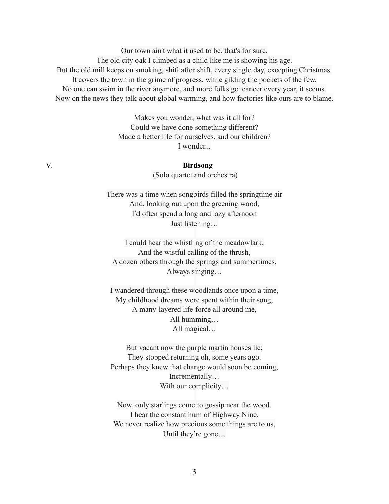Our town ain't what it used to be, that's for sure. The old city oak I climbed as a child like me is showing his age. But the old mill keeps on smoking, shift after shift, every single day, excepting Christmas. It covers the town in the grime of progress, while gilding the pockets of the few. No one can swim in the river anymore, and more folks get cancer every year, it seems. Now on the news they talk about global warming, and how factories like ours are to blame.

> Makes you wonder, what was it all for? Could we have done something different? Made a better life for ourselves, and our children? I wonder.

# V. **Birdsong**

(Solo quartet and orchestra)

There was a time when songbirds filled the springtime air And, looking out upon the greening wood, I'd often spend a long and lazy afternoon Just listening…

I could hear the whistling of the meadowlark, And the wistful calling of the thrush, A dozen others through the springs and summertimes, Always singing…

I wandered through these woodlands once upon a time, My childhood dreams were spent within their song, A many-layered life force all around me, All humming… All magical…

But vacant now the purple martin houses lie; They stopped returning oh, some years ago. Perhaps they knew that change would soon be coming, Incrementally… With our complicity…

Now, only starlings come to gossip near the wood. I hear the constant hum of Highway Nine. We never realize how precious some things are to us, Until they're gone...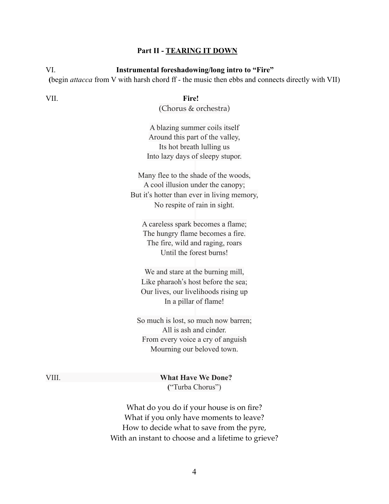### **Part II - TEARING IT DOWN**

VI. **Instrumental foreshadowing/long intro to "Fire"**

**(**begin *attacca* from V with harsh chord ff - the music then ebbs and connects directly with VII)

VII. **Fire!**

(Chorus & orchestra)

A blazing summer coils itself Around this part of the valley, Its hot breath lulling us Into lazy days of sleepy stupor.

Many flee to the shade of the woods, A cool illusion under the canopy; But it's hotter than ever in living memory, No respite of rain in sight.

A careless spark becomes a flame; The hungry flame becomes a fire. The fire, wild and raging, roars Until the forest burns!

We and stare at the burning mill, Like pharaoh's host before the sea; Our lives, our livelihoods rising up In a pillar of flame!

So much is lost, so much now barren; All is ash and cinder. From every voice a cry of anguish Mourning our beloved town.

VIII. **What Have We Done? (**"Turba Chorus")

> What do you do if your house is on fire? What if you only have moments to leave? How to decide what to save from the pyre, With an instant to choose and a lifetime to grieve?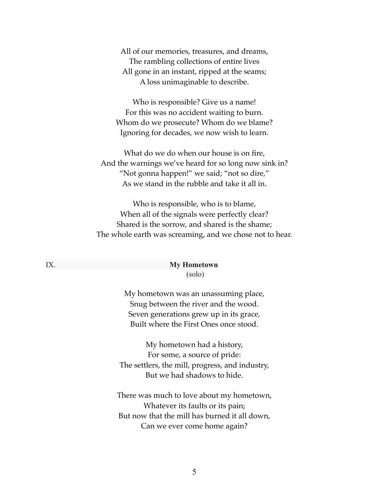All of our memories, treasures, and dreams, The rambling collections of entire lives All gone in an instant, ripped at the seams; A loss unimaginable to describe.

Who is responsible? Give us a name! For this was no accident waiting to burn. Whom do we prosecute? Whom do we blame? Ignoring for decades, we now wish to learn.

What do we do when our house is on fire, And the warnings we've heard for so long now sink in? "Not gonna happen!" we said; "not so dire," As we stand in the rubble and take it all in.

Who is responsible, who is to blame, When all of the signals were perfectly clear? Shared is the sorrow, and shared is the shame; The whole earth was screaming, and we chose not to hear.

## IX. **My Hometown** (solo)

My hometown was an unassuming place, Snug between the river and the wood. Seven generations grew up in its grace, Built where the First Ones once stood.

My hometown had a history, For some, a source of pride: The settlers, the mill, progress, and industry, But we had shadows to hide.

There was much to love about my hometown, Whatever its faults or its pain; But now that the mill has burned it all down, Can we ever come home again?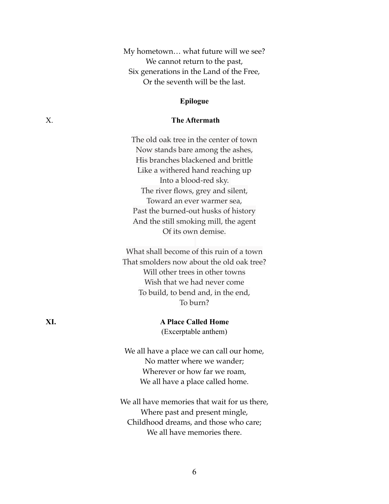My hometown… what future will we see? We cannot return to the past, Six generations in the Land of the Free, Or the seventh will be the last.

## **Epilogue**

# X. **The Aftermath**

The old oak tree in the center of town Now stands bare among the ashes, His branches blackened and brittle Like a withered hand reaching up Into a blood-red sky. The river flows, grey and silent, Toward an ever warmer sea, Past the burned-out husks of history And the still smoking mill, the agent Of its own demise.

What shall become of this ruin of a town That smolders now about the old oak tree? Will other trees in other towns Wish that we had never come To build, to bend and, in the end, To burn?

**XI. A Place Called Home** (Excerptable anthem)

> We all have a place we can call our home, No matter where we wander; Wherever or how far we roam, We all have a place called home.

We all have memories that wait for us there, Where past and present mingle, Childhood dreams, and those who care; We all have memories there.